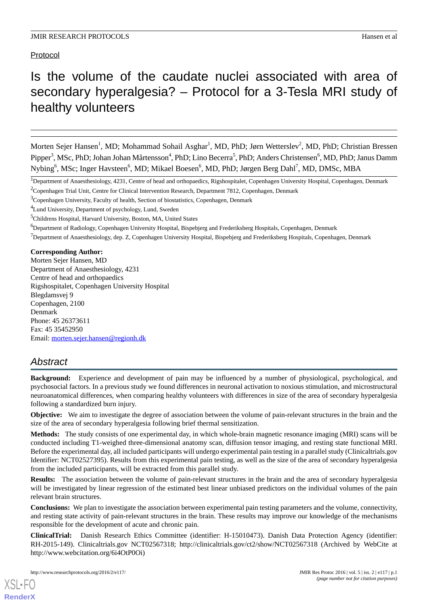Protocol

# Is the volume of the caudate nuclei associated with area of secondary hyperalgesia? – Protocol for a 3-Tesla MRI study of healthy volunteers

Morten Sejer Hansen<sup>1</sup>, MD; Mohammad Sohail Asghar<sup>1</sup>, MD, PhD; Jørn Wetterslev<sup>2</sup>, MD, PhD; Christian Bressen Pipper<sup>3</sup>, MSc, PhD; Johan Johan Mårtensson<sup>4</sup>, PhD; Lino Becerra<sup>5</sup>, PhD; Anders Christensen<sup>6</sup>, MD, PhD; Janus Damm Nybing<sup>6</sup>, MSc; Inger Havsteen<sup>6</sup>, MD; Mikael Boesen<sup>6</sup>, MD, PhD; Jørgen Berg Dahl<sup>7</sup>, MD, DMSc, MBA

 $<sup>7</sup>$ Department of Anaesthesiology, dep. Z, Copenhagen University Hospital, Bispebjerg and Frederiksberg Hospitals, Copenhagen, Denmark</sup>

## **Corresponding Author:**

Morten Sejer Hansen, MD Department of Anaesthesiology, 4231 Centre of head and orthopaedics Rigshospitalet, Copenhagen University Hospital Blegdamsvej 9 Copenhagen, 2100 Denmark Phone: 45 26373611 Fax: 45 35452950 Email: [morten.sejer.hansen@regionh.dk](mailto:morten.sejer.hansen@regionh.dk)

## *Abstract*

**Background:** Experience and development of pain may be influenced by a number of physiological, psychological, and psychosocial factors. In a previous study we found differences in neuronal activation to noxious stimulation, and microstructural neuroanatomical differences, when comparing healthy volunteers with differences in size of the area of secondary hyperalgesia following a standardized burn injury.

**Objective:** We aim to investigate the degree of association between the volume of pain-relevant structures in the brain and the size of the area of secondary hyperalgesia following brief thermal sensitization.

**Methods:** The study consists of one experimental day, in which whole-brain magnetic resonance imaging (MRI) scans will be conducted including T1-weighed three-dimensional anatomy scan, diffusion tensor imaging, and resting state functional MRI. Before the experimental day, all included participants will undergo experimental pain testing in a parallel study (Clinicaltrials.gov Identifier: NCT02527395). Results from this experimental pain testing, as well as the size of the area of secondary hyperalgesia from the included participants, will be extracted from this parallel study.

**Results:** The association between the volume of pain-relevant structures in the brain and the area of secondary hyperalgesia will be investigated by linear regression of the estimated best linear unbiased predictors on the individual volumes of the pain relevant brain structures.

**Conclusions:** We plan to investigate the association between experimental pain testing parameters and the volume, connectivity, and resting state activity of pain-relevant structures in the brain. These results may improve our knowledge of the mechanisms responsible for the development of acute and chronic pain.

**ClinicalTrial:** Danish Research Ethics Committee (identifier: H-15010473). Danish Data Protection Agency (identifier: RH-2015-149). Clinicaltrials.gov NCT02567318; http://clinicaltrials.gov/ct2/show/NCT02567318 (Archived by WebCite at http://www.webcitation.org/6i4OtP0Oi)

<sup>&</sup>lt;sup>1</sup>Department of Anaesthesiology, 4231, Centre of head and orthopaedics, Rigshospitalet, Copenhagen University Hospital, Copenhagen, Denmark

<sup>&</sup>lt;sup>2</sup>Copenhagen Trial Unit, Centre for Clinical Intervention Research, Department 7812, Copenhagen, Denmark

<sup>&</sup>lt;sup>3</sup>Copenhagen University, Faculty of health, Section of biostatistics, Copenhagen, Denmark

<sup>4</sup>Lund University, Department of psychology, Lund, Sweden

<sup>5</sup>Childrens Hospital, Harvard University, Boston, MA, United States

<sup>&</sup>lt;sup>6</sup>Department of Radiology, Copenhagen University Hospital, Bispebjerg and Frederiksberg Hospitals, Copenhagen, Denmark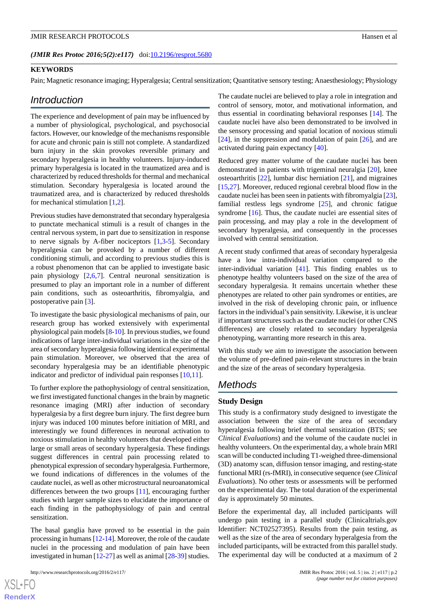#### (JMIR Res Protoc 2016;5(2):e117) doi[:10.2196/resprot.5680](http://dx.doi.org/10.2196/resprot.5680)

## **KEYWORDS**

Pain; Magnetic resonance imaging; Hyperalgesia; Central sensitization; Quantitative sensory testing; Anaesthesiology; Physiology

## *Introduction*

The experience and development of pain may be influenced by a number of physiological, psychological, and psychosocial factors. However, our knowledge of the mechanisms responsible for acute and chronic pain is still not complete. A standardized burn injury in the skin provokes reversible primary and secondary hyperalgesia in healthy volunteers. Injury-induced primary hyperalgesia is located in the traumatized area and is characterized by reduced thresholds for thermal and mechanical stimulation. Secondary hyperalgesia is located around the traumatized area, and is characterized by reduced thresholds for mechanical stimulation [[1,](#page-7-0)[2](#page-7-1)].

Previous studies have demonstrated that secondary hyperalgesia to punctate mechanical stimuli is a result of changes in the central nervous system, in part due to sensitization in response to nerve signals by A-fiber nociceptors  $[1,3-5]$  $[1,3-5]$  $[1,3-5]$  $[1,3-5]$  $[1,3-5]$ . Secondary hyperalgesia can be provoked by a number of different conditioning stimuli, and according to previous studies this is a robust phenomenon that can be applied to investigate basic pain physiology [[2](#page-7-1)[,6](#page-7-4),[7\]](#page-7-5). Central neuronal sensitization is presumed to play an important role in a number of different pain conditions, such as osteoarthritis, fibromyalgia, and postoperative pain [[3\]](#page-7-2).

To investigate the basic physiological mechanisms of pain, our research group has worked extensively with experimental physiological pain models [[8](#page-7-6)[-10](#page-7-7)]. In previous studies, we found indications of large inter-individual variations in the size of the area of secondary hyperalgesia following identical experimental pain stimulation. Moreover, we observed that the area of secondary hyperalgesia may be an identifiable phenotypic indicator and predictor of individual pain responses [\[10](#page-7-7),[11\]](#page-7-8).

To further explore the pathophysiology of central sensitization, we first investigated functional changes in the brain by magnetic resonance imaging (MRI) after induction of secondary hyperalgesia by a first degree burn injury. The first degree burn injury was induced 100 minutes before initiation of MRI, and interestingly we found differences in neuronal activation to noxious stimulation in healthy volunteers that developed either large or small areas of secondary hyperalgesia. These findings suggest differences in central pain processing related to phenotypical expression of secondary hyperalgesia. Furthermore, we found indications of differences in the volumes of the caudate nuclei, as well as other microstructural neuroanatomical differences between the two groups [\[11](#page-7-8)], encouraging further studies with larger sample sizes to elucidate the importance of each finding in the pathophysiology of pain and central sensitization.

The basal ganglia have proved to be essential in the pain processing in humans [\[12](#page-7-9)-[14\]](#page-7-10). Moreover, the role of the caudate nuclei in the processing and modulation of pain have been investigated in human [[12](#page-7-9)-[27\]](#page-8-0) as well as animal [\[28](#page-8-1)-[39](#page-8-2)] studies.

The caudate nuclei are believed to play a role in integration and control of sensory, motor, and motivational information, and thus essential in coordinating behavioral responses [[14\]](#page-7-10). The caudate nuclei have also been demonstrated to be involved in the sensory processing and spatial location of noxious stimuli [[24\]](#page-8-3), in the suppression and modulation of pain [[26\]](#page-8-4), and are activated during pain expectancy [[40\]](#page-9-0).

Reduced grey matter volume of the caudate nuclei has been demonstrated in patients with trigeminal neuralgia [[20\]](#page-8-5), knee osteoarthritis [\[22](#page-8-6)], lumbar disc herniation [\[21](#page-8-7)], and migraines [[15,](#page-7-11)[27\]](#page-8-0). Moreover, reduced regional cerebral blood flow in the caudate nuclei has been seen in patients with fibromyalgia [[23\]](#page-8-8), familial restless legs syndrome [[25\]](#page-8-9), and chronic fatigue syndrome [[16\]](#page-8-10). Thus, the caudate nuclei are essential sites of pain processing, and may play a role in the development of secondary hyperalgesia, and consequently in the processes involved with central sensitization.

A recent study confirmed that areas of secondary hyperalgesia have a low intra-individual variation compared to the inter-individual variation [\[41](#page-9-1)]. This finding enables us to phenotype healthy volunteers based on the size of the area of secondary hyperalgesia. It remains uncertain whether these phenotypes are related to other pain syndromes or entities, are involved in the risk of developing chronic pain, or influence factors in the individual's pain sensitivity. Likewise, it is unclear if important structures such as the caudate nuclei (or other CNS differences) are closely related to secondary hyperalgesia phenotyping, warranting more research in this area.

With this study we aim to investigate the association between the volume of pre-defined pain-relevant structures in the brain and the size of the areas of secondary hyperalgesia.

## *Methods*

#### **Study Design**

This study is a confirmatory study designed to investigate the association between the size of the area of secondary hyperalgesia following brief thermal sensitization (BTS; see *Clinical Evaluations*) and the volume of the caudate nuclei in healthy volunteers. On the experimental day, a whole brain MRI scan will be conducted including T1-weighed three-dimensional (3D) anatomy scan, diffusion tensor imaging, and resting-state functional MRI (rs-fMRI), in consecutive sequence (see *Clinical Evaluations*). No other tests or assessments will be performed on the experimental day. The total duration of the experimental day is approximately 50 minutes.

Before the experimental day, all included participants will undergo pain testing in a parallel study (Clinicaltrials.gov Identifier: NCT02527395). Results from the pain testing, as well as the size of the area of secondary hyperalgesia from the included participants, will be extracted from this parallel study. The experimental day will be conducted at a maximum of 2

 $XSI - F($ **[RenderX](http://www.renderx.com/)**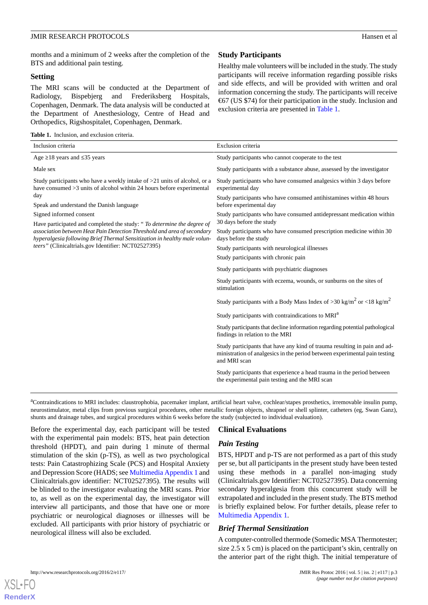months and a minimum of 2 weeks after the completion of the BTS and additional pain testing.

#### **Setting**

The MRI scans will be conducted at the Department of Radiology, Bispebjerg and Frederiksberg Hospitals, Copenhagen, Denmark. The data analysis will be conducted at the Department of Anesthesiology, Centre of Head and Orthopedics, Rigshospitalet, Copenhagen, Denmark.

<span id="page-2-0"></span>

| <b>Table 1.</b> Inclusion, and exclusion criteria. |  |  |  |  |  |
|----------------------------------------------------|--|--|--|--|--|
|----------------------------------------------------|--|--|--|--|--|

## **Study Participants**

Healthy male volunteers will be included in the study. The study participants will receive information regarding possible risks and side effects, and will be provided with written and oral information concerning the study. The participants will receive €67 (US \$74) for their participation in the study. Inclusion and exclusion criteria are presented in [Table 1](#page-2-0).

| Inclusion criteria                                                                                                                                                                                                                                                                                                                                                                                                                                                                                                                  | Exclusion criteria                                                                                                                                                                                                                                                                                                                                                                                                                                                                                                                                                                                                                                                                                                                |
|-------------------------------------------------------------------------------------------------------------------------------------------------------------------------------------------------------------------------------------------------------------------------------------------------------------------------------------------------------------------------------------------------------------------------------------------------------------------------------------------------------------------------------------|-----------------------------------------------------------------------------------------------------------------------------------------------------------------------------------------------------------------------------------------------------------------------------------------------------------------------------------------------------------------------------------------------------------------------------------------------------------------------------------------------------------------------------------------------------------------------------------------------------------------------------------------------------------------------------------------------------------------------------------|
| Age $\geq$ 18 years and $\leq$ 35 years                                                                                                                                                                                                                                                                                                                                                                                                                                                                                             | Study participants who cannot cooperate to the test                                                                                                                                                                                                                                                                                                                                                                                                                                                                                                                                                                                                                                                                               |
| Male sex                                                                                                                                                                                                                                                                                                                                                                                                                                                                                                                            | Study participants with a substance abuse, assessed by the investigator                                                                                                                                                                                                                                                                                                                                                                                                                                                                                                                                                                                                                                                           |
| Study participants who have a weekly intake of $>21$ units of alcohol, or a<br>have consumed >3 units of alcohol within 24 hours before experimental<br>day<br>Speak and understand the Danish language<br>Signed informed consent<br>Have participated and completed the study: " <i>To determine the degree of</i><br>association between Heat Pain Detection Threshold and area of secondary<br>hyperalgesia following Brief Thermal Sensitization in healthy male volun-<br>teers" (Clinicaltrials.gov Identifier: NCT02527395) | Study participants who have consumed analgesics within 3 days before<br>experimental day<br>Study participants who have consumed antihistamines within 48 hours<br>before experimental day<br>Study participants who have consumed antidepressant medication within<br>30 days before the study<br>Study participants who have consumed prescription medicine within 30<br>days before the study<br>Study participants with neurological illnesses<br>Study participants with chronic pain<br>Study participants with psychiatric diagnoses<br>Study participants with eczema, wounds, or sunburns on the sites of<br>stimulation<br>Study participants with a Body Mass Index of > 30 kg/m <sup>2</sup> or <18 kg/m <sup>2</sup> |
|                                                                                                                                                                                                                                                                                                                                                                                                                                                                                                                                     | Study participants with contraindications to MRI <sup>a</sup><br>Study participants that decline information regarding potential pathological<br>findings in relation to the MRI<br>Study participants that have any kind of trauma resulting in pain and ad-<br>ministration of analgesics in the period between experimental pain testing<br>and MRI scan<br>Study participants that experience a head trauma in the period between<br>the experimental pain testing and the MRI scan                                                                                                                                                                                                                                           |

<sup>a</sup>Contraindications to MRI includes: claustrophobia, pacemaker implant, artificial heart valve, cochlear/stapes prosthetics, irremovable insulin pump, neurostimulator, metal clips from previous surgical procedures, other metallic foreign objects, shrapnel or shell splinter, catheters (eg, Swan Ganz), shunts and drainage tubes, and surgical procedures within 6 weeks before the study (subjected to individual evaluation).

Before the experimental day, each participant will be tested with the experimental pain models: BTS, heat pain detection threshold (HPDT), and pain during 1 minute of thermal stimulation of the skin (p-TS), as well as two psychological tests: Pain Catastrophizing Scale (PCS) and Hospital Anxiety and Depression Score (HADS; see [Multimedia Appendix 1](#page-7-12) and Clinicaltrials.gov identifier: NCT02527395). The results will be blinded to the investigator evaluating the MRI scans. Prior to, as well as on the experimental day, the investigator will interview all participants, and those that have one or more psychiatric or neurological diagnoses or illnesses will be excluded. All participants with prior history of psychiatric or neurological illness will also be excluded.

## **Clinical Evaluations**

## *Pain Testing*

BTS, HPDT and p-TS are not performed as a part of this study per se, but all participants in the present study have been tested using these methods in a parallel non-imaging study (Clinicaltrials.gov Identifier: NCT02527395). Data concerning secondary hyperalgesia from this concurrent study will be extrapolated and included in the present study. The BTS method is briefly explained below. For further details, please refer to [Multimedia Appendix 1.](#page-7-12)

## *Brief Thermal Sensitization*

A computer-controlled thermode (Somedic MSA Thermotester; size 2.5 x 5 cm) is placed on the participant's skin, centrally on the anterior part of the right thigh. The initial temperature of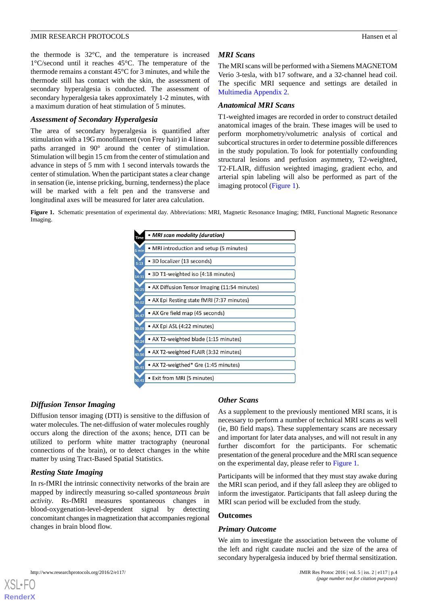the thermode is 32°C, and the temperature is increased 1°C/second until it reaches 45°C. The temperature of the thermode remains a constant 45°C for 3 minutes, and while the thermode still has contact with the skin, the assessment of secondary hyperalgesia is conducted. The assessment of secondary hyperalgesia takes approximately 1-2 minutes, with a maximum duration of heat stimulation of 5 minutes.

#### *Assessment of Secondary Hyperalgesia*

The area of secondary hyperalgesia is quantified after stimulation with a 19G monofilament (von Frey hair) in 4 linear paths arranged in 90° around the center of stimulation. Stimulation will begin 15 cm from the center of stimulation and advance in steps of 5 mm with 1 second intervals towards the center of stimulation. When the participant states a clear change in sensation (ie, intense pricking, burning, tenderness) the place will be marked with a felt pen and the transverse and longitudinal axes will be measured for later area calculation.

#### *MRI Scans*

The MRI scans will be performed with a Siemens MAGNETOM Verio 3-tesla, with b17 software, and a 32-channel head coil. The specific MRI sequence and settings are detailed in [Multimedia Appendix 2.](#page-7-13)

## *Anatomical MRI Scans*

T1-weighted images are recorded in order to construct detailed anatomical images of the brain. These images will be used to perform morphometry/volumetric analysis of cortical and subcortical structures in order to determine possible differences in the study population. To look for potentially confounding structural lesions and perfusion asymmetry, T2-weighted, T2-FLAIR, diffusion weighted imaging, gradient echo, and arterial spin labeling will also be performed as part of the imaging protocol [\(Figure 1\)](#page-3-0).

<span id="page-3-0"></span>**Figure 1.** Schematic presentation of experimental day. Abbreviations: MRI, Magnetic Resonance Imaging; fMRI, Functional Magnetic Resonance Imaging.



#### *Diffusion Tensor Imaging*

Diffusion tensor imaging (DTI) is sensitive to the diffusion of water molecules. The net-diffusion of water molecules roughly occurs along the direction of the axons; hence, DTI can be utilized to perform white matter tractography (neuronal connections of the brain), or to detect changes in the white matter by using Tract-Based Spatial Statistics.

#### *Resting State Imaging*

In rs-fMRI the intrinsic connectivity networks of the brain are mapped by indirectly measuring so-called *spontaneous brain activity*. Rs-fMRI measures spontaneous changes in blood-oxygenation-level-dependent signal by detecting concomitant changes in magnetization that accompanies regional changes in brain blood flow.

#### *Other Scans*

As a supplement to the previously mentioned MRI scans, it is necessary to perform a number of technical MRI scans as well (ie, B0 field maps). These supplementary scans are necessary and important for later data analyses, and will not result in any further discomfort for the participants. For schematic presentation of the general procedure and the MRI scan sequence on the experimental day, please refer to [Figure 1.](#page-3-0)

Participants will be informed that they must stay awake during the MRI scan period, and if they fall asleep they are obliged to inform the investigator. Participants that fall asleep during the MRI scan period will be excluded from the study.

#### **Outcomes**

#### *Primary Outcome*

We aim to investigate the association between the volume of the left and right caudate nuclei and the size of the area of secondary hyperalgesia induced by brief thermal sensitization.

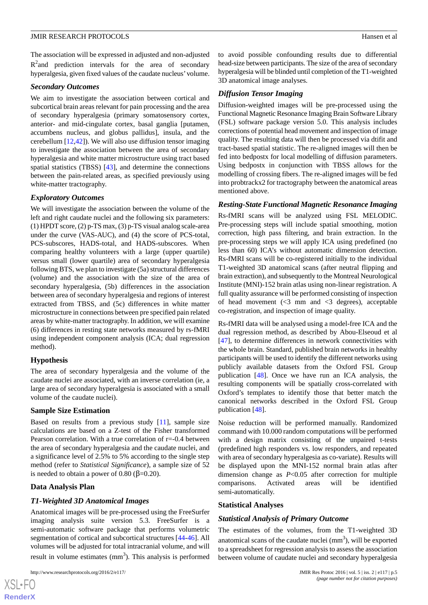The association will be expressed in adjusted and non-adjusted  $R<sup>2</sup>$  and prediction intervals for the area of secondary hyperalgesia, given fixed values of the caudate nucleus'volume.

#### *Secondary Outcomes*

We aim to investigate the association between cortical and subcortical brain areas relevant for pain processing and the area of secondary hyperalgesia (primary somatosensory cortex, anterior- and mid-cingulate cortex, basal ganglia [putamen, accumbens nucleus, and globus pallidus], insula, and the cerebellum [[12,](#page-7-9)[42](#page-9-2)]). We will also use diffusion tensor imaging to investigate the association between the area of secondary hyperalgesia and white matter microstructure using tract based spatial statistics (TBSS) [\[43](#page-9-3)], and determine the connections between the pain-related areas, as specified previously using white-matter tractography.

## *Exploratory Outcomes*

We will investigate the association between the volume of the left and right caudate nuclei and the following six parameters: (1) HPDT score, (2) p-TS max, (3) p-TS visual analog scale-area under the curve (VAS-AUC), and (4) the score of PCS-total, PCS-subscores, HADS-total, and HADS-subscores. When comparing healthy volunteers with a large (upper quartile) versus small (lower quartile) area of secondary hyperalgesia following BTS, we plan to investigate (5a) structural differences (volume) and the association with the size of the area of secondary hyperalgesia, (5b) differences in the association between area of secondary hyperalgesia and regions of interest extracted from TBSS, and (5c) differences in white matter microstructure in connections between pre specified pain related areas by white-matter tractography. In addition, we will examine (6) differences in resting state networks measured by rs-fMRI using independent component analysis (ICA; dual regression method).

## **Hypothesis**

The area of secondary hyperalgesia and the volume of the caudate nuclei are associated, with an inverse correlation (ie, a large area of secondary hyperalgesia is associated with a small volume of the caudate nuclei).

## **Sample Size Estimation**

Based on results from a previous study [[11\]](#page-7-8), sample size calculations are based on a Z-test of the Fisher transformed Pearson correlation. With a true correlation of r=-0.4 between the area of secondary hyperalgesia and the caudate nuclei, and a significance level of 2.5% to 5% according to the single step method (refer to *Statistical Significance*), a sample size of 52 is needed to obtain a power of 0.80 ( $β=0.20$ ).

## **Data Analysis Plan**

## *T1-Weighted 3D Anatomical Images*

Anatomical images will be pre-processed using the FreeSurfer imaging analysis suite version 5.3. FreeSurfer is a semi-automatic software package that performs volumetric segmentation of cortical and subcortical structures [[44-](#page-9-4)[46\]](#page-9-5). All volumes will be adjusted for total intracranial volume, and will result in volume estimates  $(nm<sup>3</sup>)$ . This analysis is performed

 $XS$ -FO **[RenderX](http://www.renderx.com/)**

to avoid possible confounding results due to differential head-size between participants. The size of the area of secondary hyperalgesia will be blinded until completion of the T1-weighted 3D anatomical image analyses.

## *Diffusion Tensor Imaging*

Diffusion-weighted images will be pre-processed using the Functional Magnetic Resonance Imaging Brain Software Library (FSL) software package version 5.0. This analysis includes corrections of potential head movement and inspection of image quality. The resulting data will then be processed via dtifit and tract-based spatial statistic. The re-aligned images will then be fed into bedpostx for local modelling of diffusion parameters. Using bedpostx in conjunction with TBSS allows for the modelling of crossing fibers. The re-aligned images will be fed into probtrackx2 for tractography between the anatomical areas mentioned above.

## *Resting-State Functional Magnetic Resonance Imaging*

Rs-fMRI scans will be analyzed using FSL MELODIC. Pre-processing steps will include spatial smoothing, motion correction, high pass filtering, and brain extraction. In the pre-processing steps we will apply ICA using predefined (no less than 60) ICA's without automatic dimension detection. Rs-fMRI scans will be co-registered initially to the individual T1-weighted 3D anatomical scans (after neutral flipping and brain extraction), and subsequently to the Montreal Neurological Institute (MNI)-152 brain atlas using non-linear registration. A full quality assurance will be performed consisting of inspection of head movement  $\langle 3 \rangle$  mm and  $\langle 3 \rangle$  degrees), acceptable co-registration, and inspection of image quality.

Rs-fMRI data will be analysed using a model-free ICA and the dual regression method, as described by Abou-Elseoud et al [[47\]](#page-9-6), to determine differences in network connectivities with the whole brain. Standard, published brain networks in healthy participants will be used to identify the different networks using publicly available datasets from the Oxford FSL Group publication [\[48](#page-9-7)]. Once we have run an ICA analysis, the resulting components will be spatially cross-correlated with Oxford's templates to identify those that better match the canonical networks described in the Oxford FSL Group publication [\[48](#page-9-7)].

Noise reduction will be performed manually. Randomized command with 10.000 random computations will be performed with a design matrix consisting of the unpaired t-tests (predefined high responders vs. low responders, and repeated with area of secondary hyperalgesia as co-variate). Results will be displayed upon the MNI-152 normal brain atlas after dimension change as *P*<0.05 after correction for multiple comparisons. Activated areas will be identified semi-automatically.

#### **Statistical Analyses**

#### *Statistical Analysis of Primary Outcome*

The estimates of the volumes, from the T1-weighted 3D anatomical scans of the caudate nuclei  $(mm<sup>3</sup>)$ , will be exported to a spreadsheet for regression analysis to assess the association between volume of caudate nuclei and secondary hyperalgesia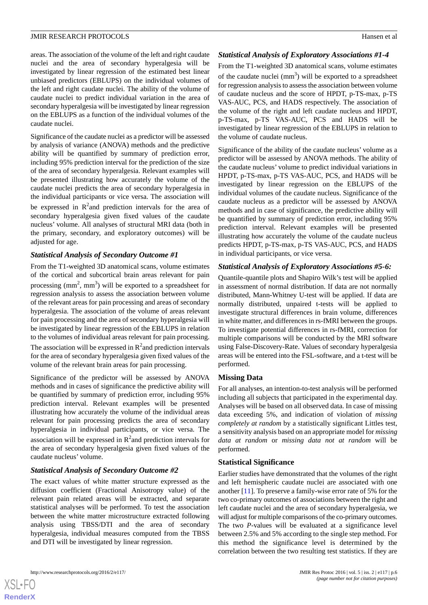areas. The association of the volume of the left and right caudate nuclei and the area of secondary hyperalgesia will be investigated by linear regression of the estimated best linear unbiased predictors (EBLUPS) on the individual volumes of the left and right caudate nuclei. The ability of the volume of caudate nuclei to predict individual variation in the area of secondary hyperalgesia will be investigated by linear regression on the EBLUPS as a function of the individual volumes of the caudate nuclei.

Significance of the caudate nuclei as a predictor will be assessed by analysis of variance (ANOVA) methods and the predictive ability will be quantified by summary of prediction error, including 95% prediction interval for the prediction of the size of the area of secondary hyperalgesia. Relevant examples will be presented illustrating how accurately the volume of the caudate nuclei predicts the area of secondary hyperalgesia in the individual participants or vice versa. The association will be expressed in  $R^2$  and prediction intervals for the area of secondary hyperalgesia given fixed values of the caudate nucleus' volume. All analyses of structural MRI data (both in the primary, secondary, and exploratory outcomes) will be adjusted for age.

## *Statistical Analysis of Secondary Outcome #1*

From the T1-weighted 3D anatomical scans, volume estimates of the cortical and subcortical brain areas relevant for pain processing  $(mm^2, mm^3)$  will be exported to a spreadsheet for regression analysis to assess the association between volume of the relevant areas for pain processing and areas of secondary hyperalgesia. The association of the volume of areas relevant for pain processing and the area of secondary hyperalgesia will be investigated by linear regression of the EBLUPS in relation to the volumes of individual areas relevant for pain processing. The association will be expressed in  $R^2$  and prediction intervals for the area of secondary hyperalgesia given fixed values of the volume of the relevant brain areas for pain processing.

Significance of the predictor will be assessed by ANOVA methods and in cases of significance the predictive ability will be quantified by summary of prediction error, including 95% prediction interval. Relevant examples will be presented illustrating how accurately the volume of the individual areas relevant for pain processing predicts the area of secondary hyperalgesia in individual participants, or vice versa. The association will be expressed in  $R^2$  and prediction intervals for the area of secondary hyperalgesia given fixed values of the caudate nucleus' volume.

## *Statistical Analysis of Secondary Outcome #2*

The exact values of white matter structure expressed as the diffusion coefficient (Fractional Anisotropy value) of the relevant pain related areas will be extracted, and separate statistical analyses will be performed. To test the association between the white matter microstructure extracted following analysis using TBSS/DTI and the area of secondary hyperalgesia, individual measures computed from the TBSS and DTI will be investigated by linear regression.

## *Statistical Analysis of Exploratory Associations #1-4*

From the T1-weighted 3D anatomical scans, volume estimates of the caudate nuclei  $(mm<sup>3</sup>)$  will be exported to a spreadsheet for regression analysis to assess the association between volume of caudate nucleus and the score of HPDT, p-TS-max, p-TS VAS-AUC, PCS, and HADS respectively. The association of the volume of the right and left caudate nucleus and HPDT, p-TS-max, p-TS VAS-AUC, PCS and HADS will be investigated by linear regression of the EBLUPS in relation to the volume of caudate nucleus.

Significance of the ability of the caudate nucleus' volume as a predictor will be assessed by ANOVA methods. The ability of the caudate nucleus' volume to predict individual variations in HPDT, p-TS-max, p-TS VAS-AUC, PCS, and HADS will be investigated by linear regression on the EBLUPS of the individual volumes of the caudate nucleus. Significance of the caudate nucleus as a predictor will be assessed by ANOVA methods and in case of significance, the predictive ability will be quantified by summary of prediction error, including 95% prediction interval. Relevant examples will be presented illustrating how accurately the volume of the caudate nucleus predicts HPDT, p-TS-max, p-TS VAS-AUC, PCS, and HADS in individual participants, or vice versa.

#### *Statistical Analysis of Exploratory Associations #5-6:*

Quantile-quantile plots and Shapiro Wilk's test will be applied in assessment of normal distribution. If data are not normally distributed, Mann-Whitney U-test will be applied. If data are normally distributed, unpaired t-tests will be applied to investigate structural differences in brain volume, differences in white matter, and differences in rs-fMRI between the groups. To investigate potential differences in rs-fMRI, correction for multiple comparisons will be conducted by the MRI software using False-Discovery-Rate. Values of secondary hyperalgesia areas will be entered into the FSL-software, and a t-test will be performed.

#### **Missing Data**

For all analyses, an intention-to-test analysis will be performed including all subjects that participated in the experimental day. Analyses will be based on all observed data. In case of missing data exceeding 5%, and indication of violation of *missing completely at random* by a statistically significant Littles test, a sensitivity analysis based on an appropriate model for *missing data at random* or *missing data not at random* will be performed.

#### **Statistical Significance**

Earlier studies have demonstrated that the volumes of the right and left hemispheric caudate nuclei are associated with one another [\[11](#page-7-8)]. To preserve a family-wise error rate of 5% for the two co-primary outcomes of associations between the right and left caudate nuclei and the area of secondary hyperalgesia, we will adjust for multiple comparisons of the co-primary outcomes. The two *P*-values will be evaluated at a significance level between 2.5% and 5% according to the single step method. For this method the significance level is determined by the correlation between the two resulting test statistics. If they are

 $XS$ -FO **[RenderX](http://www.renderx.com/)**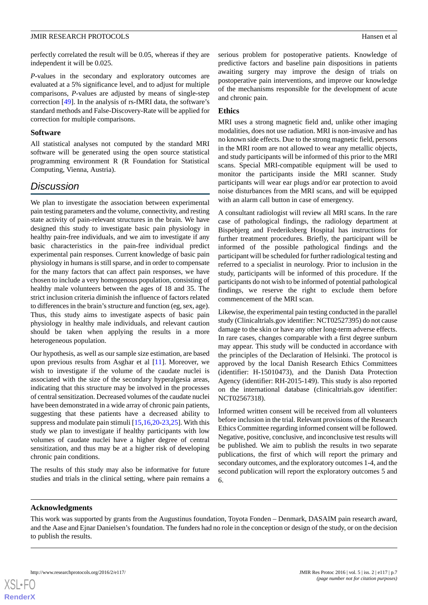perfectly correlated the result will be 0.05, whereas if they are independent it will be 0.025.

*P*-values in the secondary and exploratory outcomes are evaluated at a 5% significance level, and to adjust for multiple comparisons, *P*-values are adjusted by means of single-step correction [[49\]](#page-9-8). In the analysis of rs-fMRI data, the software's standard methods and False-Discovery-Rate will be applied for correction for multiple comparisons.

#### **Software**

All statistical analyses not computed by the standard MRI software will be generated using the open source statistical programming environment R (R Foundation for Statistical Computing, Vienna, Austria).

## *Discussion*

We plan to investigate the association between experimental pain testing parameters and the volume, connectivity, and resting state activity of pain-relevant structures in the brain. We have designed this study to investigate basic pain physiology in healthy pain-free individuals, and we aim to investigate if any basic characteristics in the pain-free individual predict experimental pain responses. Current knowledge of basic pain physiology in humans is still sparse, and in order to compensate for the many factors that can affect pain responses, we have chosen to include a very homogenous population, consisting of healthy male volunteers between the ages of 18 and 35. The strict inclusion criteria diminish the influence of factors related to differences in the brain's structure and function (eg, sex, age). Thus, this study aims to investigate aspects of basic pain physiology in healthy male individuals, and relevant caution should be taken when applying the results in a more heterogeneous population.

Our hypothesis, as well as our sample size estimation, are based upon previous results from Asghar et al [\[11](#page-7-8)]. Moreover, we wish to investigate if the volume of the caudate nuclei is associated with the size of the secondary hyperalgesia areas, indicating that this structure may be involved in the processes of central sensitization. Decreased volumes of the caudate nuclei have been demonstrated in a wide array of chronic pain patients, suggesting that these patients have a decreased ability to suppress and modulate pain stimuli [[15](#page-7-11)[,16](#page-8-10),[20](#page-8-5)[-23](#page-8-8),[25\]](#page-8-9). With this study we plan to investigate if healthy participants with low volumes of caudate nuclei have a higher degree of central sensitization, and thus may be at a higher risk of developing chronic pain conditions.

The results of this study may also be informative for future studies and trials in the clinical setting, where pain remains a serious problem for postoperative patients. Knowledge of predictive factors and baseline pain dispositions in patients awaiting surgery may improve the design of trials on postoperative pain interventions, and improve our knowledge of the mechanisms responsible for the development of acute and chronic pain.

## **Ethics**

MRI uses a strong magnetic field and, unlike other imaging modalities, does not use radiation. MRI is non-invasive and has no known side effects. Due to the strong magnetic field, persons in the MRI room are not allowed to wear any metallic objects, and study participants will be informed of this prior to the MRI scans. Special MRI-compatible equipment will be used to monitor the participants inside the MRI scanner. Study participants will wear ear plugs and/or ear protection to avoid noise disturbances from the MRI scans, and will be equipped with an alarm call button in case of emergency.

A consultant radiologist will review all MRI scans. In the rare case of pathological findings, the radiology department at Bispebjerg and Frederiksberg Hospital has instructions for further treatment procedures. Briefly, the participant will be informed of the possible pathological findings and the participant will be scheduled for further radiological testing and referred to a specialist in neurology. Prior to inclusion in the study, participants will be informed of this procedure. If the participants do not wish to be informed of potential pathological findings, we reserve the right to exclude them before commencement of the MRI scan.

Likewise, the experimental pain testing conducted in the parallel study (Clinicaltrials.gov identifier: NCT02527395) do not cause damage to the skin or have any other long-term adverse effects. In rare cases, changes comparable with a first degree sunburn may appear. This study will be conducted in accordance with the principles of the Declaration of Helsinki. The protocol is approved by the local Danish Research Ethics Committees (identifier: H-15010473), and the Danish Data Protection Agency (identifier: RH-2015-149). This study is also reported on the international database (clinicaltrials.gov identifier: NCT02567318).

Informed written consent will be received from all volunteers before inclusion in the trial. Relevant provisions of the Research Ethics Committee regarding informed consent will be followed. Negative, positive, conclusive, and inconclusive test results will be published. We aim to publish the results in two separate publications, the first of which will report the primary and secondary outcomes, and the exploratory outcomes 1-4, and the second publication will report the exploratory outcomes 5 and 6.

## **Acknowledgments**

This work was supported by grants from the Augustinus foundation, Toyota Fonden – Denmark, DASAIM pain research award, and the Aase and Ejnar Danielsen's foundation. The funders had no role in the conception or design of the study, or on the decision to publish the results.

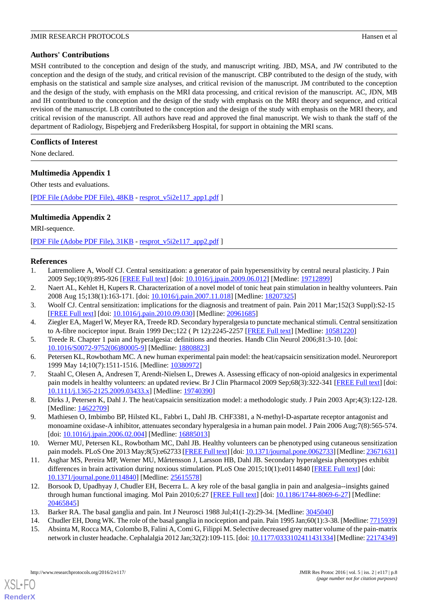## **Authors' Contributions**

MSH contributed to the conception and design of the study, and manuscript writing. JBD, MSA, and JW contributed to the conception and the design of the study, and critical revision of the manuscript. CBP contributed to the design of the study, with emphasis on the statistical and sample size analyses, and critical revision of the manuscript. JM contributed to the conception and the design of the study, with emphasis on the MRI data processing, and critical revision of the manuscript. AC, JDN, MB and IH contributed to the conception and the design of the study with emphasis on the MRI theory and sequence, and critical revision of the manuscript. LB contributed to the conception and the design of the study with emphasis on the MRI theory, and critical revision of the manuscript. All authors have read and approved the final manuscript. We wish to thank the staff of the department of Radiology, Bispebjerg and Frederiksberg Hospital, for support in obtaining the MRI scans.

## **Conflicts of Interest**

<span id="page-7-12"></span>None declared.

## **Multimedia Appendix 1**

Other tests and evaluations.

<span id="page-7-13"></span>[[PDF File \(Adobe PDF File\), 48KB](http://www.researchprotocols.org/article/downloadSuppFile/5680/34167) - [resprot\\_v5i2e117\\_app1.pdf](http://www.researchprotocols.org/article/downloadSuppFile/5680/34167) ]

## **Multimedia Appendix 2**

MRI-sequence.

<span id="page-7-0"></span>[[PDF File \(Adobe PDF File\), 31KB](http://www.researchprotocols.org/article/downloadSuppFile/5680/34166) - [resprot\\_v5i2e117\\_app2.pdf](http://www.researchprotocols.org/article/downloadSuppFile/5680/34166) ]

#### <span id="page-7-1"></span>**References**

- <span id="page-7-2"></span>1. Latremoliere A, Woolf CJ. Central sensitization: a generator of pain hypersensitivity by central neural plasticity. J Pain 2009 Sep;10(9):895-926 [\[FREE Full text\]](http://europepmc.org/abstract/MED/19712899) [doi: [10.1016/j.jpain.2009.06.012](http://dx.doi.org/10.1016/j.jpain.2009.06.012)] [Medline: [19712899\]](http://www.ncbi.nlm.nih.gov/entrez/query.fcgi?cmd=Retrieve&db=PubMed&list_uids=19712899&dopt=Abstract)
- 2. Naert AL, Kehlet H, Kupers R. Characterization of a novel model of tonic heat pain stimulation in healthy volunteers. Pain 2008 Aug 15;138(1):163-171. [doi: [10.1016/j.pain.2007.11.018\]](http://dx.doi.org/10.1016/j.pain.2007.11.018) [Medline: [18207325\]](http://www.ncbi.nlm.nih.gov/entrez/query.fcgi?cmd=Retrieve&db=PubMed&list_uids=18207325&dopt=Abstract)
- <span id="page-7-3"></span>3. Woolf CJ. Central sensitization: implications for the diagnosis and treatment of pain. Pain 2011 Mar;152(3 Suppl):S2-15 [[FREE Full text](http://europepmc.org/abstract/MED/20961685)] [doi: [10.1016/j.pain.2010.09.030\]](http://dx.doi.org/10.1016/j.pain.2010.09.030) [Medline: [20961685\]](http://www.ncbi.nlm.nih.gov/entrez/query.fcgi?cmd=Retrieve&db=PubMed&list_uids=20961685&dopt=Abstract)
- <span id="page-7-4"></span>4. Ziegler EA, Magerl W, Meyer RA, Treede RD. Secondary hyperalgesia to punctate mechanical stimuli. Central sensitization to A-fibre nociceptor input. Brain 1999 Dec;122 ( Pt 12):2245-2257 [\[FREE Full text\]](http://brain.oxfordjournals.org/cgi/pmidlookup?view=long&pmid=10581220) [Medline: [10581220](http://www.ncbi.nlm.nih.gov/entrez/query.fcgi?cmd=Retrieve&db=PubMed&list_uids=10581220&dopt=Abstract)]
- <span id="page-7-5"></span>5. Treede R. Chapter 1 pain and hyperalgesia: definitions and theories. Handb Clin Neurol 2006;81:3-10. [doi: [10.1016/S0072-9752\(06\)80005-9\]](http://dx.doi.org/10.1016/S0072-9752(06)80005-9) [Medline: [18808823](http://www.ncbi.nlm.nih.gov/entrez/query.fcgi?cmd=Retrieve&db=PubMed&list_uids=18808823&dopt=Abstract)]
- <span id="page-7-6"></span>6. Petersen KL, Rowbotham MC. A new human experimental pain model: the heat/capsaicin sensitization model. Neuroreport 1999 May 14;10(7):1511-1516. [Medline: [10380972](http://www.ncbi.nlm.nih.gov/entrez/query.fcgi?cmd=Retrieve&db=PubMed&list_uids=10380972&dopt=Abstract)]
- 7. Staahl C, Olesen A, Andresen T, Arendt-Nielsen L, Drewes A. Assessing efficacy of non-opioid analgesics in experimental pain models in healthy volunteers: an updated review. Br J Clin Pharmacol 2009 Sep;68(3):322-341 [\[FREE Full text](http://dx.doi.org/10.1111/j.1365-2125.2009.03433.x)] [doi: [10.1111/j.1365-2125.2009.03433.x\]](http://dx.doi.org/10.1111/j.1365-2125.2009.03433.x) [Medline: [19740390\]](http://www.ncbi.nlm.nih.gov/entrez/query.fcgi?cmd=Retrieve&db=PubMed&list_uids=19740390&dopt=Abstract)
- <span id="page-7-7"></span>8. Dirks J, Petersen K, Dahl J. The heat/capsaicin sensitization model: a methodologic study. J Pain 2003 Apr;4(3):122-128. [Medline: [14622709](http://www.ncbi.nlm.nih.gov/entrez/query.fcgi?cmd=Retrieve&db=PubMed&list_uids=14622709&dopt=Abstract)]
- <span id="page-7-8"></span>9. Mathiesen O, Imbimbo BP, Hilsted KL, Fabbri L, Dahl JB. CHF3381, a N-methyl-D-aspartate receptor antagonist and monoamine oxidase-A inhibitor, attenuates secondary hyperalgesia in a human pain model. J Pain 2006 Aug;7(8):565-574. [doi: <u>10.1016/j.jpain.2006.02.004</u>] [Medline: [16885013\]](http://www.ncbi.nlm.nih.gov/entrez/query.fcgi?cmd=Retrieve&db=PubMed&list_uids=16885013&dopt=Abstract)
- <span id="page-7-9"></span>10. Werner MU, Petersen KL, Rowbotham MC, Dahl JB. Healthy volunteers can be phenotyped using cutaneous sensitization pain models. PLoS One 2013 May;8(5):e62733 [\[FREE Full text](http://dx.plos.org/10.1371/journal.pone.0062733)] [doi: [10.1371/journal.pone.0062733\]](http://dx.doi.org/10.1371/journal.pone.0062733) [Medline: [23671631\]](http://www.ncbi.nlm.nih.gov/entrez/query.fcgi?cmd=Retrieve&db=PubMed&list_uids=23671631&dopt=Abstract)
- <span id="page-7-10"></span>11. Asghar MS, Pereira MP, Werner MU, Mårtensson J, Larsson HB, Dahl JB. Secondary hyperalgesia phenotypes exhibit differences in brain activation during noxious stimulation. PLoS One 2015;10(1):e0114840 [\[FREE Full text\]](http://dx.plos.org/10.1371/journal.pone.0114840) [doi: [10.1371/journal.pone.0114840\]](http://dx.doi.org/10.1371/journal.pone.0114840) [Medline: [25615578](http://www.ncbi.nlm.nih.gov/entrez/query.fcgi?cmd=Retrieve&db=PubMed&list_uids=25615578&dopt=Abstract)]
- <span id="page-7-11"></span>12. Borsook D, Upadhyay J, Chudler EH, Becerra L. A key role of the basal ganglia in pain and analgesia--insights gained through human functional imaging. Mol Pain 2010;6:27 [\[FREE Full text\]](http://europepmc.org/abstract/MED/20465845) [doi: [10.1186/1744-8069-6-27](http://dx.doi.org/10.1186/1744-8069-6-27)] [Medline: [20465845](http://www.ncbi.nlm.nih.gov/entrez/query.fcgi?cmd=Retrieve&db=PubMed&list_uids=20465845&dopt=Abstract)]
- 13. Barker RA. The basal ganglia and pain. Int J Neurosci 1988 Jul;41(1-2):29-34. [Medline: [3045040\]](http://www.ncbi.nlm.nih.gov/entrez/query.fcgi?cmd=Retrieve&db=PubMed&list_uids=3045040&dopt=Abstract)
- 14. Chudler EH, Dong WK. The role of the basal ganglia in nociception and pain. Pain 1995 Jan;60(1):3-38. [Medline: [7715939\]](http://www.ncbi.nlm.nih.gov/entrez/query.fcgi?cmd=Retrieve&db=PubMed&list_uids=7715939&dopt=Abstract)
- 15. Absinta M, Rocca MA, Colombo B, Falini A, Comi G, Filippi M. Selective decreased grey matter volume of the pain-matrix network in cluster headache. Cephalalgia 2012 Jan;32(2):109-115. [doi: [10.1177/0333102411431334\]](http://dx.doi.org/10.1177/0333102411431334) [Medline: [22174349\]](http://www.ncbi.nlm.nih.gov/entrez/query.fcgi?cmd=Retrieve&db=PubMed&list_uids=22174349&dopt=Abstract)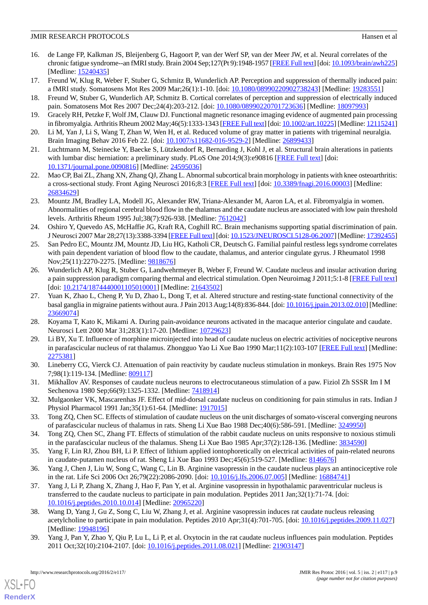- <span id="page-8-10"></span>16. de Lange FP, Kalkman JS, Bleijenberg G, Hagoort P, van der Werf SP, van der Meer JW, et al. Neural correlates of the chronic fatigue syndrome--an fMRI study. Brain 2004 Sep;127(Pt 9):1948-1957 [[FREE Full text](http://brain.oxfordjournals.org/cgi/pmidlookup?view=long&pmid=15240435)] [doi: [10.1093/brain/awh225\]](http://dx.doi.org/10.1093/brain/awh225) [Medline: [15240435](http://www.ncbi.nlm.nih.gov/entrez/query.fcgi?cmd=Retrieve&db=PubMed&list_uids=15240435&dopt=Abstract)]
- 17. Freund W, Klug R, Weber F, Stuber G, Schmitz B, Wunderlich AP. Perception and suppression of thermally induced pain: a fMRI study. Somatosens Mot Res 2009 Mar;26(1):1-10. [doi: [10.1080/08990220902738243](http://dx.doi.org/10.1080/08990220902738243)] [Medline: [19283551](http://www.ncbi.nlm.nih.gov/entrez/query.fcgi?cmd=Retrieve&db=PubMed&list_uids=19283551&dopt=Abstract)]
- 18. Freund W, Stuber G, Wunderlich AP, Schmitz B. Cortical correlates of perception and suppression of electrically induced pain. Somatosens Mot Res 2007 Dec;24(4):203-212. [doi: [10.1080/08990220701723636\]](http://dx.doi.org/10.1080/08990220701723636) [Medline: [18097993](http://www.ncbi.nlm.nih.gov/entrez/query.fcgi?cmd=Retrieve&db=PubMed&list_uids=18097993&dopt=Abstract)]
- <span id="page-8-5"></span>19. Gracely RH, Petzke F, Wolf JM, Clauw DJ. Functional magnetic resonance imaging evidence of augmented pain processing in fibromyalgia. Arthritis Rheum 2002 May;46(5):1333-1343 [[FREE Full text\]](http://dx.doi.org/10.1002/art.10225) [doi: [10.1002/art.10225\]](http://dx.doi.org/10.1002/art.10225) [Medline: [12115241\]](http://www.ncbi.nlm.nih.gov/entrez/query.fcgi?cmd=Retrieve&db=PubMed&list_uids=12115241&dopt=Abstract)
- <span id="page-8-7"></span>20. Li M, Yan J, Li S, Wang T, Zhan W, Wen H, et al. Reduced volume of gray matter in patients with trigeminal neuralgia. Brain Imaging Behav 2016 Feb 22. [doi: [10.1007/s11682-016-9529-2\]](http://dx.doi.org/10.1007/s11682-016-9529-2) [Medline: [26899433](http://www.ncbi.nlm.nih.gov/entrez/query.fcgi?cmd=Retrieve&db=PubMed&list_uids=26899433&dopt=Abstract)]
- <span id="page-8-6"></span>21. Luchtmann M, Steinecke Y, Baecke S, Lützkendorf R, Bernarding J, Kohl J, et al. Structural brain alterations in patients with lumbar disc herniation: a preliminary study. PLoS One 2014;9(3):e90816 [[FREE Full text\]](http://dx.plos.org/10.1371/journal.pone.0090816) [doi: [10.1371/journal.pone.0090816\]](http://dx.doi.org/10.1371/journal.pone.0090816) [Medline: [24595036](http://www.ncbi.nlm.nih.gov/entrez/query.fcgi?cmd=Retrieve&db=PubMed&list_uids=24595036&dopt=Abstract)]
- <span id="page-8-8"></span>22. Mao CP, Bai ZL, Zhang XN, Zhang QJ, Zhang L. Abnormal subcortical brain morphology in patients with knee osteoarthritis: a cross-sectional study. Front Aging Neurosci 2016;8:3 [\[FREE Full text\]](http://dx.doi.org/10.3389/fnagi.2016.00003) [doi: [10.3389/fnagi.2016.00003](http://dx.doi.org/10.3389/fnagi.2016.00003)] [Medline: [26834629](http://www.ncbi.nlm.nih.gov/entrez/query.fcgi?cmd=Retrieve&db=PubMed&list_uids=26834629&dopt=Abstract)]
- <span id="page-8-3"></span>23. Mountz JM, Bradley LA, Modell JG, Alexander RW, Triana-Alexander M, Aaron LA, et al. Fibromyalgia in women. Abnormalities of regional cerebral blood flow in the thalamus and the caudate nucleus are associated with low pain threshold levels. Arthritis Rheum 1995 Jul;38(7):926-938. [Medline: [7612042\]](http://www.ncbi.nlm.nih.gov/entrez/query.fcgi?cmd=Retrieve&db=PubMed&list_uids=7612042&dopt=Abstract)
- <span id="page-8-9"></span>24. Oshiro Y, Quevedo AS, McHaffie JG, Kraft RA, Coghill RC. Brain mechanisms supporting spatial discrimination of pain. J Neurosci 2007 Mar 28;27(13):3388-3394 [[FREE Full text\]](http://www.jneurosci.org/cgi/pmidlookup?view=long&pmid=17392455) [doi: [10.1523/JNEUROSCI.5128-06.2007\]](http://dx.doi.org/10.1523/JNEUROSCI.5128-06.2007) [Medline: [17392455\]](http://www.ncbi.nlm.nih.gov/entrez/query.fcgi?cmd=Retrieve&db=PubMed&list_uids=17392455&dopt=Abstract)
- <span id="page-8-4"></span>25. San Pedro EC, Mountz JM, Mountz JD, Liu HG, Katholi CR, Deutsch G. Familial painful restless legs syndrome correlates with pain dependent variation of blood flow to the caudate, thalamus, and anterior cingulate gyrus. J Rheumatol 1998 Nov;25(11):2270-2275. [Medline: [9818676](http://www.ncbi.nlm.nih.gov/entrez/query.fcgi?cmd=Retrieve&db=PubMed&list_uids=9818676&dopt=Abstract)]
- <span id="page-8-0"></span>26. Wunderlich AP, Klug R, Stuber G, Landwehrmeyer B, Weber F, Freund W. Caudate nucleus and insular activation during a pain suppression paradigm comparing thermal and electrical stimulation. Open Neuroimag J 2011;5:1-8 [[FREE Full text](http://europepmc.org/abstract/MED/21643502)] [doi: [10.2174/1874440001105010001](http://dx.doi.org/10.2174/1874440001105010001)] [Medline: [21643502\]](http://www.ncbi.nlm.nih.gov/entrez/query.fcgi?cmd=Retrieve&db=PubMed&list_uids=21643502&dopt=Abstract)
- <span id="page-8-1"></span>27. Yuan K, Zhao L, Cheng P, Yu D, Zhao L, Dong T, et al. Altered structure and resting-state functional connectivity of the basal ganglia in migraine patients without aura. J Pain 2013 Aug;14(8):836-844. [doi: [10.1016/j.jpain.2013.02.010\]](http://dx.doi.org/10.1016/j.jpain.2013.02.010) [Medline: [23669074](http://www.ncbi.nlm.nih.gov/entrez/query.fcgi?cmd=Retrieve&db=PubMed&list_uids=23669074&dopt=Abstract)]
- 28. Koyama T, Kato K, Mikami A. During pain-avoidance neurons activated in the macaque anterior cingulate and caudate. Neurosci Lett 2000 Mar 31;283(1):17-20. [Medline: [10729623\]](http://www.ncbi.nlm.nih.gov/entrez/query.fcgi?cmd=Retrieve&db=PubMed&list_uids=10729623&dopt=Abstract)
- 29. Li BY, Xu T. Influence of morphine microinjected into head of caudate nucleus on electric activities of nociceptive neurons in parafascicular nucleus of rat thalamus. Zhongguo Yao Li Xue Bao 1990 Mar;11(2):103-107 [[FREE Full text\]](http://www.chinaphar.com/1671-4083/11/103.pdf) [Medline: [2275381\]](http://www.ncbi.nlm.nih.gov/entrez/query.fcgi?cmd=Retrieve&db=PubMed&list_uids=2275381&dopt=Abstract)
- 30. Lineberry CG, Vierck CJ. Attenuation of pain reactivity by caudate nucleus stimulation in monkeys. Brain Res 1975 Nov 7;98(1):119-134. [Medline: [809117](http://www.ncbi.nlm.nih.gov/entrez/query.fcgi?cmd=Retrieve&db=PubMed&list_uids=809117&dopt=Abstract)]
- 31. Mikhaĭlov AV. Responses of caudate nucleus neurons to electrocutaneous stimulation of a paw. Fiziol Zh SSSR Im I M Sechenova 1980 Sep;66(9):1325-1332. [Medline: [7418914\]](http://www.ncbi.nlm.nih.gov/entrez/query.fcgi?cmd=Retrieve&db=PubMed&list_uids=7418914&dopt=Abstract)
- 32. Mulgaonker VK, Mascarenhas JF. Effect of mid-dorsal caudate nucleus on conditioning for pain stimulus in rats. Indian J Physiol Pharmacol 1991 Jan;35(1):61-64. [Medline: [1917015\]](http://www.ncbi.nlm.nih.gov/entrez/query.fcgi?cmd=Retrieve&db=PubMed&list_uids=1917015&dopt=Abstract)
- 33. Tong ZQ, Chen SC. Effects of stimulation of caudate nucleus on the unit discharges of somato-visceral converging neurons of parafascicular nucleus of thalamus in rats. Sheng Li Xue Bao 1988 Dec;40(6):586-591. [Medline: [3249950\]](http://www.ncbi.nlm.nih.gov/entrez/query.fcgi?cmd=Retrieve&db=PubMed&list_uids=3249950&dopt=Abstract)
- 34. Tong ZQ, Chen SC, Zhang FT. Effects of stimulation of the rabbit caudate nucleus on units responsive to noxious stimuli in the parafascicular nucleus of the thalamus. Sheng Li Xue Bao 1985 Apr;37(2):128-136. [Medline: [3834590\]](http://www.ncbi.nlm.nih.gov/entrez/query.fcgi?cmd=Retrieve&db=PubMed&list_uids=3834590&dopt=Abstract)
- 35. Yang F, Lin RJ, Zhou BH, Li P. Effect of lithium applied iontophoretically on electrical activities of pain-related neurons in caudate-putamen nucleus of rat. Sheng Li Xue Bao 1993 Dec;45(6):519-527. [Medline: [8146676\]](http://www.ncbi.nlm.nih.gov/entrez/query.fcgi?cmd=Retrieve&db=PubMed&list_uids=8146676&dopt=Abstract)
- 36. Yang J, Chen J, Liu W, Song C, Wang C, Lin B. Arginine vasopressin in the caudate nucleus plays an antinociceptive role in the rat. Life Sci 2006 Oct 26;79(22):2086-2090. [doi: [10.1016/j.lfs.2006.07.005\]](http://dx.doi.org/10.1016/j.lfs.2006.07.005) [Medline: [16884741\]](http://www.ncbi.nlm.nih.gov/entrez/query.fcgi?cmd=Retrieve&db=PubMed&list_uids=16884741&dopt=Abstract)
- <span id="page-8-2"></span>37. Yang J, Li P, Zhang X, Zhang J, Hao F, Pan Y, et al. Arginine vasopressin in hypothalamic paraventricular nucleus is transferred to the caudate nucleus to participate in pain modulation. Peptides 2011 Jan;32(1):71-74. [doi: [10.1016/j.peptides.2010.10.014\]](http://dx.doi.org/10.1016/j.peptides.2010.10.014) [Medline: [20965220\]](http://www.ncbi.nlm.nih.gov/entrez/query.fcgi?cmd=Retrieve&db=PubMed&list_uids=20965220&dopt=Abstract)
- 38. Wang D, Yang J, Gu Z, Song C, Liu W, Zhang J, et al. Arginine vasopressin induces rat caudate nucleus releasing acetylcholine to participate in pain modulation. Peptides 2010 Apr;31(4):701-705. [doi: [10.1016/j.peptides.2009.11.027\]](http://dx.doi.org/10.1016/j.peptides.2009.11.027) [Medline: [19948196](http://www.ncbi.nlm.nih.gov/entrez/query.fcgi?cmd=Retrieve&db=PubMed&list_uids=19948196&dopt=Abstract)]
- 39. Yang J, Pan Y, Zhao Y, Qiu P, Lu L, Li P, et al. Oxytocin in the rat caudate nucleus influences pain modulation. Peptides 2011 Oct;32(10):2104-2107. [doi: [10.1016/j.peptides.2011.08.021\]](http://dx.doi.org/10.1016/j.peptides.2011.08.021) [Medline: [21903147\]](http://www.ncbi.nlm.nih.gov/entrez/query.fcgi?cmd=Retrieve&db=PubMed&list_uids=21903147&dopt=Abstract)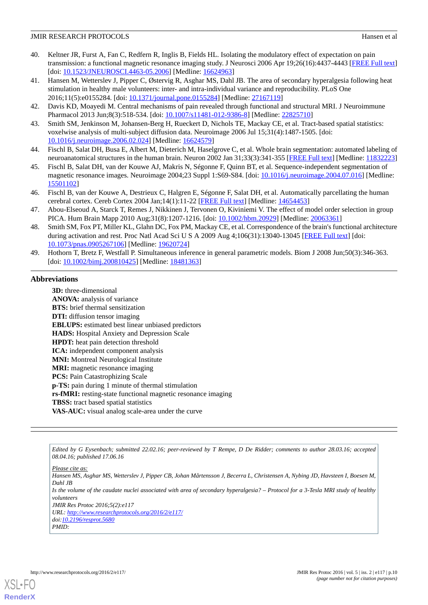- <span id="page-9-0"></span>40. Keltner JR, Furst A, Fan C, Redfern R, Inglis B, Fields HL. Isolating the modulatory effect of expectation on pain transmission: a functional magnetic resonance imaging study. J Neurosci 2006 Apr 19;26(16):4437-4443 [[FREE Full text](http://www.jneurosci.org/cgi/pmidlookup?view=long&pmid=16624963)] [doi: [10.1523/JNEUROSCI.4463-05.2006](http://dx.doi.org/10.1523/JNEUROSCI.4463-05.2006)] [Medline: [16624963\]](http://www.ncbi.nlm.nih.gov/entrez/query.fcgi?cmd=Retrieve&db=PubMed&list_uids=16624963&dopt=Abstract)
- <span id="page-9-1"></span>41. Hansen M, Wetterslev J, Pipper C, Østervig R, Asghar MS, Dahl JB. The area of secondary hyperalgesia following heat stimulation in healthy male volunteers: inter- and intra-individual variance and reproducibility. PLoS One 2016;11(5):e0155284. [doi: [10.1371/journal.pone.0155284\]](http://dx.doi.org/10.1371/journal.pone.0155284) [Medline: [27167119](http://www.ncbi.nlm.nih.gov/entrez/query.fcgi?cmd=Retrieve&db=PubMed&list_uids=27167119&dopt=Abstract)]
- <span id="page-9-3"></span><span id="page-9-2"></span>42. Davis KD, Moayedi M. Central mechanisms of pain revealed through functional and structural MRI. J Neuroimmune Pharmacol 2013 Jun;8(3):518-534. [doi: [10.1007/s11481-012-9386-8](http://dx.doi.org/10.1007/s11481-012-9386-8)] [Medline: [22825710](http://www.ncbi.nlm.nih.gov/entrez/query.fcgi?cmd=Retrieve&db=PubMed&list_uids=22825710&dopt=Abstract)]
- <span id="page-9-4"></span>43. Smith SM, Jenkinson M, Johansen-Berg H, Rueckert D, Nichols TE, Mackay CE, et al. Tract-based spatial statistics: voxelwise analysis of multi-subject diffusion data. Neuroimage 2006 Jul 15;31(4):1487-1505. [doi: [10.1016/j.neuroimage.2006.02.024\]](http://dx.doi.org/10.1016/j.neuroimage.2006.02.024) [Medline: [16624579\]](http://www.ncbi.nlm.nih.gov/entrez/query.fcgi?cmd=Retrieve&db=PubMed&list_uids=16624579&dopt=Abstract)
- 44. Fischl B, Salat DH, Busa E, Albert M, Dieterich M, Haselgrove C, et al. Whole brain segmentation: automated labeling of neuroanatomical structures in the human brain. Neuron 2002 Jan 31;33(3):341-355 [\[FREE Full text](http://linkinghub.elsevier.com/retrieve/pii/S089662730200569X)] [Medline: [11832223](http://www.ncbi.nlm.nih.gov/entrez/query.fcgi?cmd=Retrieve&db=PubMed&list_uids=11832223&dopt=Abstract)]
- <span id="page-9-5"></span>45. Fischl B, Salat DH, van der Kouwe AJ, Makris N, Ségonne F, Quinn BT, et al. Sequence-independent segmentation of magnetic resonance images. Neuroimage 2004;23 Suppl 1:S69-S84. [doi: [10.1016/j.neuroimage.2004.07.016](http://dx.doi.org/10.1016/j.neuroimage.2004.07.016)] [Medline: [15501102](http://www.ncbi.nlm.nih.gov/entrez/query.fcgi?cmd=Retrieve&db=PubMed&list_uids=15501102&dopt=Abstract)]
- <span id="page-9-6"></span>46. Fischl B, van der Kouwe A, Destrieux C, Halgren E, Ségonne F, Salat DH, et al. Automatically parcellating the human cerebral cortex. Cereb Cortex 2004 Jan;14(1):11-22 [\[FREE Full text\]](http://cercor.oxfordjournals.org/cgi/pmidlookup?view=long&pmid=14654453) [Medline: [14654453](http://www.ncbi.nlm.nih.gov/entrez/query.fcgi?cmd=Retrieve&db=PubMed&list_uids=14654453&dopt=Abstract)]
- <span id="page-9-7"></span>47. Abou-Elseoud A, Starck T, Remes J, Nikkinen J, Tervonen O, Kiviniemi V. The effect of model order selection in group PICA. Hum Brain Mapp 2010 Aug;31(8):1207-1216. [doi: [10.1002/hbm.20929\]](http://dx.doi.org/10.1002/hbm.20929) [Medline: [20063361](http://www.ncbi.nlm.nih.gov/entrez/query.fcgi?cmd=Retrieve&db=PubMed&list_uids=20063361&dopt=Abstract)]
- <span id="page-9-8"></span>48. Smith SM, Fox PT, Miller KL, Glahn DC, Fox PM, Mackay CE, et al. Correspondence of the brain's functional architecture during activation and rest. Proc Natl Acad Sci U S A 2009 Aug 4;106(31):13040-13045 [[FREE Full text\]](http://www.pnas.org/cgi/pmidlookup?view=long&pmid=19620724) [doi: [10.1073/pnas.0905267106\]](http://dx.doi.org/10.1073/pnas.0905267106) [Medline: [19620724](http://www.ncbi.nlm.nih.gov/entrez/query.fcgi?cmd=Retrieve&db=PubMed&list_uids=19620724&dopt=Abstract)]
- 49. Hothorn T, Bretz F, Westfall P. Simultaneous inference in general parametric models. Biom J 2008 Jun;50(3):346-363. [doi: [10.1002/bimj.200810425](http://dx.doi.org/10.1002/bimj.200810425)] [Medline: [18481363\]](http://www.ncbi.nlm.nih.gov/entrez/query.fcgi?cmd=Retrieve&db=PubMed&list_uids=18481363&dopt=Abstract)

## **Abbreviations**

**3D:** three-dimensional **ANOVA:** analysis of variance **BTS:** brief thermal sensitization **DTI:** diffusion tensor imaging **EBLUPS:** estimated best linear unbiased predictors **HADS:** Hospital Anxiety and Depression Scale **HPDT:** heat pain detection threshold **ICA:** independent component analysis **MNI:** Montreal Neurological Institute **MRI:** magnetic resonance imaging **PCS:** Pain Catastrophizing Scale **p-TS:** pain during 1 minute of thermal stimulation **rs-fMRI:** resting-state functional magnetic resonance imaging **TBSS:** tract based spatial statistics **VAS-AUC:** visual analog scale-area under the curve

*Edited by G Eysenbach; submitted 22.02.16; peer-reviewed by T Rempe, D De Ridder; comments to author 28.03.16; accepted 08.04.16; published 17.06.16*

*Please cite as: Hansen MS, Asghar MS, Wetterslev J, Pipper CB, Johan Mårtensson J, Becerra L, Christensen A, Nybing JD, Havsteen I, Boesen M, Dahl JB Is the volume of the caudate nuclei associated with area of secondary hyperalgesia? – Protocol for a 3-Tesla MRI study of healthy volunteers JMIR Res Protoc 2016;5(2):e117 URL: <http://www.researchprotocols.org/2016/2/e117/> doi[:10.2196/resprot.5680](http://dx.doi.org/10.2196/resprot.5680) PMID:*

**[RenderX](http://www.renderx.com/)**